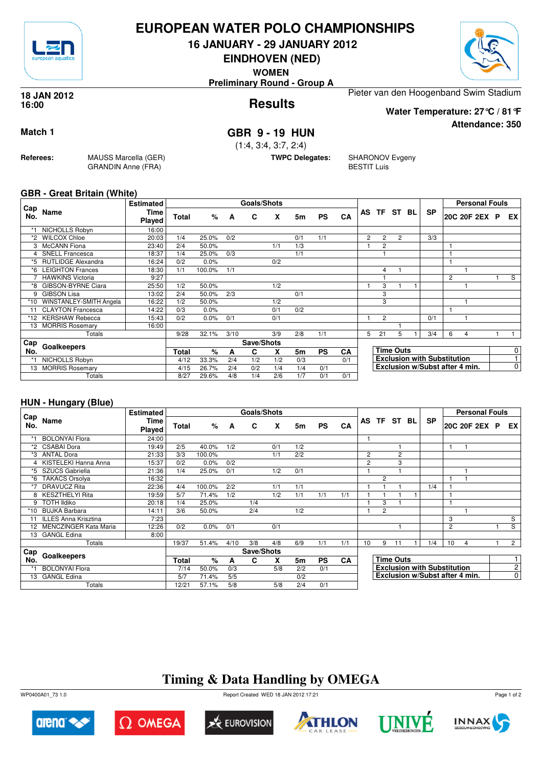

## **EUROPEAN WATER POLO CHAMPIONSHIPS**

**16 JANUARY - 29 JANUARY 2012**

**EINDHOVEN (NED)**

**WOMEN**

**Preliminary Round - Group A**

#### **Results 18 JAN 2012 16:00**

Pieter van den Hoogenband Swim Stadium

**Water Temperature: 27°C / 81°F**

**Attendance: 350**

## **Match 1 GBR 9 - 19 HUN**

(1:4, 3:4, 3:7, 2:4)

**TWPC Delegates:** SHARONOV Evgeny BESTIT Luis

### **GBR - Great Britain (White)**

**Referees:** MAUSS Marcella (GER)

GRANDIN Anne (FRA)

| Cap |                           | <b>Estimated</b> |              |        |      | <b>Goals/Shots</b> |     |     |           |     |                |                |                  |    |                                    |   | <b>Personal Fouls</b>          |     |
|-----|---------------------------|------------------|--------------|--------|------|--------------------|-----|-----|-----------|-----|----------------|----------------|------------------|----|------------------------------------|---|--------------------------------|-----|
| No. | Name                      | Time<br>Played   | <b>Total</b> | %      | A    | C                  | X   | 5m  | <b>PS</b> | CA  | AS             | TF ST          |                  | BL | <b>SP</b>                          |   | 20C 20F 2EX P                  | EX. |
|     | NICHOLLS Robyn            | 16:00            |              |        |      |                    |     |     |           |     |                |                |                  |    |                                    |   |                                |     |
| *2  | <b>WILCOX Chloe</b>       | 20:03            | 1/4          | 25.0%  | 0/2  |                    |     | 0/1 | 1/1       |     | $\overline{2}$ | $\overline{2}$ | $\overline{c}$   |    | 3/3                                |   |                                |     |
|     | <b>McCANN</b> Fiona       | 23:40            | 2/4          | 50.0%  |      |                    | 1/1 | 1/3 |           |     |                | $\overline{2}$ |                  |    |                                    |   |                                |     |
|     | <b>SNELL Francesca</b>    | 18:37            | 1/4          | 25.0%  | 0/3  |                    |     | 1/1 |           |     |                |                |                  |    |                                    |   |                                |     |
| *5  | <b>RUTLIDGE Alexandra</b> | 16:24            | 0/2          | 0.0%   |      |                    | 0/2 |     |           |     |                |                |                  |    |                                    |   |                                |     |
| *6  | <b>LEIGHTON Frances</b>   | 18:30            | 1/1          | 100.0% | 1/1  |                    |     |     |           |     |                | 4              |                  |    |                                    |   |                                |     |
|     | <b>HAWKINS Victoria</b>   | 9:27             |              |        |      |                    |     |     |           |     |                |                |                  |    |                                    | 2 |                                | S   |
| *8  | GIBSON-BYRNE Ciara        | 25:50            | 1/2          | 50.0%  |      |                    | 1/2 |     |           |     |                | 3              |                  |    |                                    |   |                                |     |
| 9   | <b>GIBSON Lisa</b>        | 13:02            | 2/4          | 50.0%  | 2/3  |                    |     | 0/1 |           |     |                | 3              |                  |    |                                    |   |                                |     |
| *10 | WINSTANLEY-SMITH Angela   | 16:22            | 1/2          | 50.0%  |      |                    | 1/2 |     |           |     |                | 3              |                  |    |                                    |   |                                |     |
| 11  | <b>CLAYTON Francesca</b>  | 14:22            | 0/3          | 0.0%   |      |                    | 0/1 | 0/2 |           |     |                |                |                  |    |                                    |   |                                |     |
| *12 | <b>KERSHAW Rebecca</b>    | 15:43            | 0/2          | 0.0%   | 0/1  |                    | 0/1 |     |           |     |                | $\overline{2}$ |                  |    | 0/1                                |   |                                |     |
| 13  | <b>MORRIS Rosemary</b>    | 16:00            |              |        |      |                    |     |     |           |     |                |                |                  |    |                                    |   |                                |     |
|     | Totals                    |                  | 9/28         | 32.1%  | 3/10 |                    | 3/9 | 2/8 | 1/1       |     | 5.             | 21             | 5                |    | 3/4                                | 6 | 4                              |     |
| Cap |                           |                  |              |        |      | Save/Shots         |     |     |           |     |                |                |                  |    |                                    |   |                                |     |
| No. | Goalkeepers               |                  | Total        | $\%$   | A    | C                  | X   | 5m  | <b>PS</b> | CA  |                |                | <b>Time Outs</b> |    |                                    |   |                                | 0   |
|     | NICHOLLS Robyn            |                  | 4/12         | 33.3%  | 2/4  | 1/2                | 1/2 | 0/3 |           | 0/1 |                |                |                  |    | <b>Exclusion with Substitution</b> |   |                                |     |
| 13  | <b>MORRIS Rosemary</b>    |                  | 4/15         | 26.7%  | 2/4  | 0/2                | 1/4 | 1/4 | 0/1       |     |                |                |                  |    |                                    |   | Exclusion w/Subst after 4 min. | 0   |
|     | Totals                    |                  | 8/27         | 29.6%  | 4/8  | 1/4                | 2/6 | 1/7 | 0/1       | 0/1 |                |                |                  |    |                                    |   |                                |     |

### **HUN - Hungary (Blue)**

|            |                          | <b>Estimated</b> |              |        |      | Goals/Shots |     |     |           |           |                |                |                  |                                    |                | <b>Personal Fouls</b>          |  |                |
|------------|--------------------------|------------------|--------------|--------|------|-------------|-----|-----|-----------|-----------|----------------|----------------|------------------|------------------------------------|----------------|--------------------------------|--|----------------|
| Cap<br>No. | Name                     | Time<br>Played   | <b>Total</b> | %      | A    | C           | X   | 5m  | <b>PS</b> | CA        |                |                | AS TF ST BL      | <b>SP</b>                          |                | 20C 20F 2EX P                  |  | EX I           |
|            | <b>BOLONYAl Flora</b>    | 24:00            |              |        |      |             |     |     |           |           | 1              |                |                  |                                    |                |                                |  |                |
| *2         | <b>CSABAI Dora</b>       | 19:49            | 2/5          | 40.0%  | 1/2  |             | 0/1 | 1/2 |           |           |                |                |                  |                                    | 1              |                                |  |                |
| *3         | <b>ANTAL Dora</b>        | 21:33            | 3/3          | 100.0% |      |             | 1/1 | 2/2 |           |           | $\overline{2}$ |                | 2                |                                    |                |                                |  |                |
|            | 4 KISTELEKI Hanna Anna   | 15:37            | 0/2          | 0.0%   | 0/2  |             |     |     |           |           | 2              |                | 3                |                                    |                |                                |  |                |
|            | *5 SZUCS Gabriella       | 21:36            | 1/4          | 25.0%  | 0/1  |             | 1/2 | 0/1 |           |           |                |                |                  |                                    |                |                                |  |                |
| *6         | <b>TAKACS Orsolya</b>    | 16:32            |              |        |      |             |     |     |           |           |                | $\overline{2}$ |                  |                                    |                |                                |  |                |
| *7         | <b>DRAVUCZ Rita</b>      | 22:36            | 4/4          | 100.0% | 2/2  |             | 1/1 | 1/1 |           |           |                |                |                  | 1/4                                |                |                                |  |                |
|            | 8 KESZTHELYI Rita        | 19:59            | 5/7          | 71.4%  | 1/2  |             | 1/2 | 1/1 | 1/1       | 1/1       |                |                |                  |                                    |                |                                |  |                |
| 9          | <b>TOTH Ildiko</b>       | 20:18            | 1/4          | 25.0%  |      | 1/4         |     |     |           |           |                | 3              |                  |                                    |                |                                |  |                |
| $*10$      | <b>BUJKA Barbara</b>     | 14:11            | 3/6          | 50.0%  |      | 2/4         |     | 1/2 |           |           |                | $\overline{2}$ |                  |                                    |                |                                |  |                |
|            | 11 ILLES Anna Krisztina  | 7:23             |              |        |      |             |     |     |           |           |                |                |                  |                                    | 3              |                                |  | S              |
|            | 12 MENCZINGER Kata Maria | 12:26            | 0/2          | 0.0%   | 0/1  |             | 0/1 |     |           |           |                |                |                  |                                    | $\overline{c}$ |                                |  | S              |
| 13         | <b>GANGL Edina</b>       | 8:00             |              |        |      |             |     |     |           |           |                |                |                  |                                    |                |                                |  |                |
|            | Totals                   |                  | 19/37        | 51.4%  | 4/10 | 3/8         | 4/8 | 6/9 | 1/1       | 1/1       | 10             | 9              | 11               | 1/4                                | 10             | $\overline{4}$                 |  | $2^{\circ}$    |
| ⊦Cap       |                          |                  |              |        |      | Save/Shots  |     |     |           |           |                |                |                  |                                    |                |                                |  |                |
| No.        | Goalkeepers              |                  | Total        | $\%$   | A    | C           | X   | 5m  | <b>PS</b> | <b>CA</b> |                |                | <b>Time Outs</b> |                                    |                |                                |  |                |
|            | <b>BOLONYAl Flora</b>    |                  | 7/14         | 50.0%  | 0/3  |             | 5/8 | 2/2 | 0/1       |           |                |                |                  | <b>Exclusion with Substitution</b> |                |                                |  | 2 <sup>1</sup> |
|            | 13 GANGL Edina           |                  | 5/7          | 71.4%  | 5/5  |             |     | 0/2 |           |           |                |                |                  |                                    |                | Exclusion w/Subst after 4 min. |  | $\overline{0}$ |
|            | Totals                   |                  | 12/21        | 57.1%  | 5/8  |             | 5/8 | 2/4 | 0/1       |           |                |                |                  |                                    |                |                                |  |                |

## **Timing & Data Handling by OMEGA**

WP0400A01\_73 1.0 Report Created WED 18 JAN 2012 17:21













Page 1 of 2